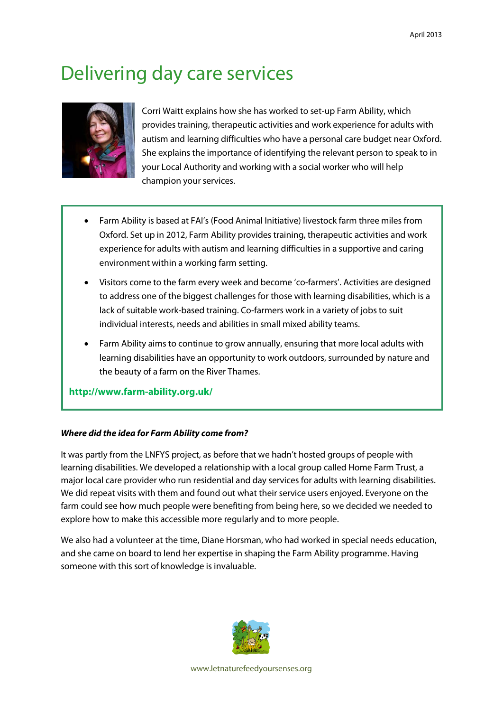# Delivering day care services



Corri Waitt explains how she has worked to set-up Farm Ability, which provides training, therapeutic activities and work experience for adults with autism and learning difficulties who have a personal care budget near Oxford. She explains the importance of identifying the relevant person to speak to in your Local Authority and working with a social worker who will help champion your services.

- Farm Ability is based at FAI's (Food Animal Initiative) livestock farm three miles from Oxford. Set up in 2012, Farm Ability provides training, therapeutic activities and work experience for adults with autism and learning difficulties in a supportive and caring environment within a working farm setting.
- Visitors come to the farm every week and become 'co-farmers'. Activities are designed to address one of the biggest challenges for those with learning disabilities, which is a lack of suitable work-based training. Co-farmers work in a variety of jobs to suit individual interests, needs and abilities in small mixed ability teams.
- Farm Ability aims to continue to grow annually, ensuring that more local adults with learning disabilities have an opportunity to work outdoors, surrounded by nature and the beauty of a farm on the River Thames.

**<http://www.farm-ability.org.uk/>**

# *Where did the idea for Farm Ability come from?*

It was partly from the LNFYS project, as before that we hadn't hosted groups of people with learning disabilities. We developed a relationship with a local group called Home Farm Trust, a major local care provider who run residential and day services for adults with learning disabilities. We did repeat visits with them and found out what their service users enjoyed. Everyone on the farm could see how much people were benefiting from being here, so we decided we needed to explore how to make this accessible more regularly and to more people.

We also had a volunteer at the time, Diane Horsman, who had worked in special needs education, and she came on board to lend her expertise in shaping the Farm Ability programme. Having someone with this sort of knowledge is invaluable.



[www.letnaturefeedyoursenses.org](http://www.letnaturefeedyoursenses.org/)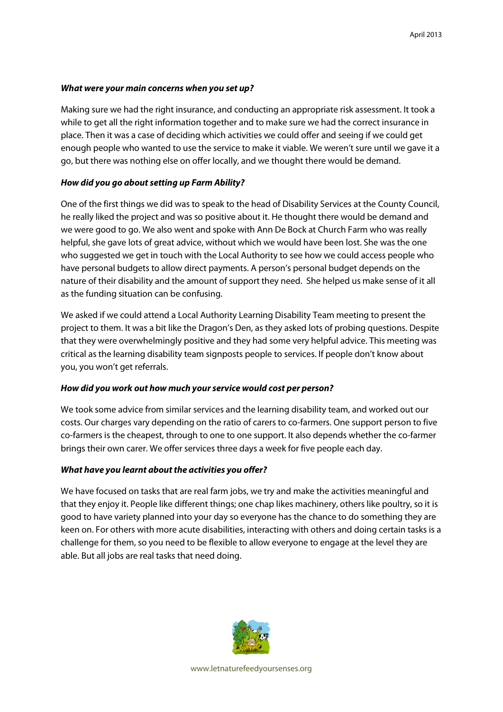# *What were your main concerns when you set up?*

Making sure we had the right insurance, and conducting an appropriate risk assessment. It took a while to get all the right information together and to make sure we had the correct insurance in place. Then it was a case of deciding which activities we could offer and seeing if we could get enough people who wanted to use the service to make it viable. We weren't sure until we gave it a go, but there was nothing else on offer locally, and we thought there would be demand.

# *How did you go about setting up Farm Ability?*

One of the first things we did was to speak to the head of Disability Services at the County Council, he really liked the project and was so positive about it. He thought there would be demand and we were good to go. We also went and spoke with Ann De Bock at Church Farm who was really helpful, she gave lots of great advice, without which we would have been lost. She was the one who suggested we get in touch with the Local Authority to see how we could access people who have personal budgets to allow direct payments. A person's personal budget depends on the nature of their disability and the amount of support they need. She helped us make sense of it all as the funding situation can be confusing.

We asked if we could attend a Local Authority Learning Disability Team meeting to present the project to them. It was a bit like the Dragon's Den, as they asked lots of probing questions. Despite that they were overwhelmingly positive and they had some very helpful advice. This meeting was critical as the learning disability team signposts people to services. If people don't know about you, you won't get referrals.

#### *How did you work out how much your service would cost per person?*

We took some advice from similar services and the learning disability team, and worked out our costs. Our charges vary depending on the ratio of carers to co-farmers. One support person to five co-farmers is the cheapest, through to one to one support. It also depends whether the co-farmer brings their own carer. We offer services three days a week for five people each day.

#### *What have you learnt about the activities you offer?*

We have focused on tasks that are real farm jobs, we try and make the activities meaningful and that they enjoy it. People like different things; one chap likes machinery, others like poultry, so it is good to have variety planned into your day so everyone has the chance to do something they are keen on. For others with more acute disabilities, interacting with others and doing certain tasks is a challenge for them, so you need to be flexible to allow everyone to engage at the level they are able. But all jobs are real tasks that need doing.



[www.letnaturefeedyoursenses.org](http://www.letnaturefeedyoursenses.org/)